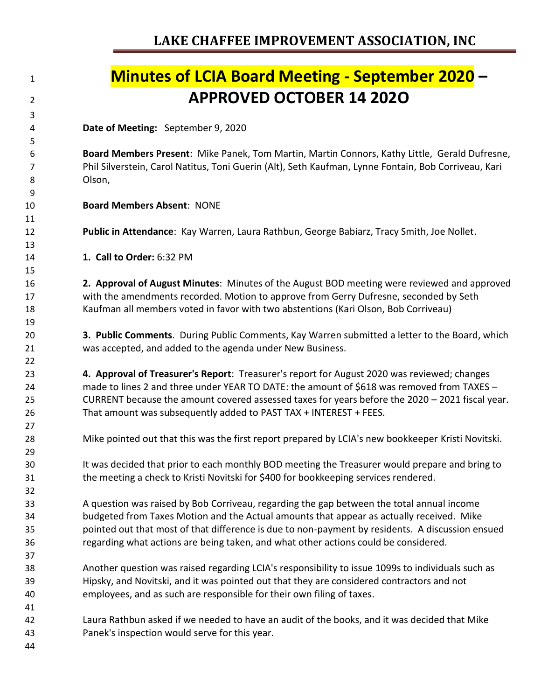| 1        | <b>Minutes of LCIA Board Meeting - September 2020 -</b>                                                                                                                               |
|----------|---------------------------------------------------------------------------------------------------------------------------------------------------------------------------------------|
| 2        | <b>APPROVED OCTOBER 14 2020</b>                                                                                                                                                       |
| 3        |                                                                                                                                                                                       |
| 4        | Date of Meeting: September 9, 2020                                                                                                                                                    |
| 5        |                                                                                                                                                                                       |
| 6        | Board Members Present: Mike Panek, Tom Martin, Martin Connors, Kathy Little, Gerald Dufresne,                                                                                         |
| 7        | Phil Silverstein, Carol Natitus, Toni Guerin (Alt), Seth Kaufman, Lynne Fontain, Bob Corriveau, Kari                                                                                  |
| 8<br>9   | Olson,                                                                                                                                                                                |
| 10       | <b>Board Members Absent: NONE</b>                                                                                                                                                     |
| 11       |                                                                                                                                                                                       |
| 12       | Public in Attendance: Kay Warren, Laura Rathbun, George Babiarz, Tracy Smith, Joe Nollet.                                                                                             |
| 13       |                                                                                                                                                                                       |
| 14       | 1. Call to Order: 6:32 PM                                                                                                                                                             |
| 15       |                                                                                                                                                                                       |
| 16       | 2. Approval of August Minutes: Minutes of the August BOD meeting were reviewed and approved                                                                                           |
| 17       | with the amendments recorded. Motion to approve from Gerry Dufresne, seconded by Seth                                                                                                 |
| 18       | Kaufman all members voted in favor with two abstentions (Kari Olson, Bob Corriveau)                                                                                                   |
| 19       |                                                                                                                                                                                       |
| 20       | 3. Public Comments. During Public Comments, Kay Warren submitted a letter to the Board, which                                                                                         |
| 21       | was accepted, and added to the agenda under New Business.                                                                                                                             |
| 22       |                                                                                                                                                                                       |
| 23       | 4. Approval of Treasurer's Report: Treasurer's report for August 2020 was reviewed; changes                                                                                           |
| 24       | made to lines 2 and three under YEAR TO DATE: the amount of \$618 was removed from TAXES -                                                                                            |
| 25       | CURRENT because the amount covered assessed taxes for years before the 2020 - 2021 fiscal year.                                                                                       |
| 26       | That amount was subsequently added to PAST TAX + INTEREST + FEES.                                                                                                                     |
| 27       |                                                                                                                                                                                       |
| 28       | Mike pointed out that this was the first report prepared by LCIA's new bookkeeper Kristi Novitski.                                                                                    |
| 29       |                                                                                                                                                                                       |
| 30<br>31 | It was decided that prior to each monthly BOD meeting the Treasurer would prepare and bring to<br>the meeting a check to Kristi Novitski for \$400 for bookkeeping services rendered. |
| 32       |                                                                                                                                                                                       |
| 33       | A question was raised by Bob Corriveau, regarding the gap between the total annual income                                                                                             |
| 34       | budgeted from Taxes Motion and the Actual amounts that appear as actually received. Mike                                                                                              |
| 35       | pointed out that most of that difference is due to non-payment by residents. A discussion ensued                                                                                      |
| 36       | regarding what actions are being taken, and what other actions could be considered.                                                                                                   |
| 37       |                                                                                                                                                                                       |
| 38       | Another question was raised regarding LCIA's responsibility to issue 1099s to individuals such as                                                                                     |
| 39       | Hipsky, and Novitski, and it was pointed out that they are considered contractors and not                                                                                             |
| 40       | employees, and as such are responsible for their own filing of taxes.                                                                                                                 |
| 41       |                                                                                                                                                                                       |
| 42       | Laura Rathbun asked if we needed to have an audit of the books, and it was decided that Mike                                                                                          |
| 43       | Panek's inspection would serve for this year.                                                                                                                                         |
| 44       |                                                                                                                                                                                       |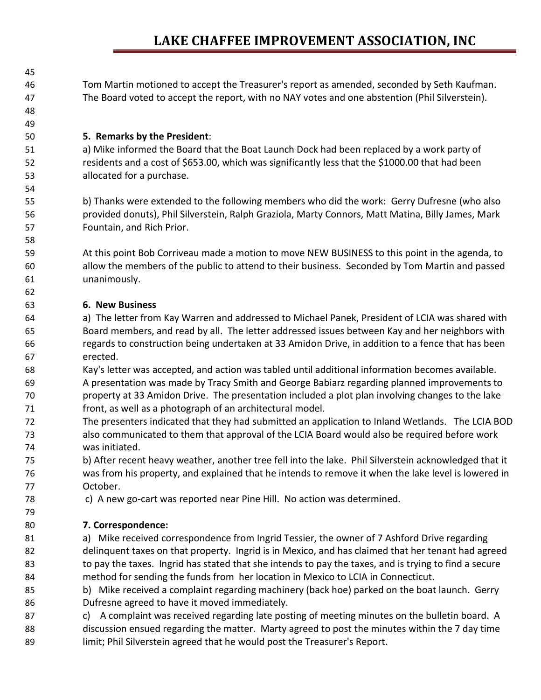Tom Martin motioned to accept the Treasurer's report as amended, seconded by Seth Kaufman. The Board voted to accept the report, with no NAY votes and one abstention (Phil Silverstein).

### **5. Remarks by the President**:

 a) Mike informed the Board that the Boat Launch Dock had been replaced by a work party of residents and a cost of \$653.00, which was significantly less that the \$1000.00 that had been allocated for a purchase.

 b) Thanks were extended to the following members who did the work: Gerry Dufresne (who also provided donuts), Phil Silverstein, Ralph Graziola, Marty Connors, Matt Matina, Billy James, Mark Fountain, and Rich Prior.

 At this point Bob Corriveau made a motion to move NEW BUSINESS to this point in the agenda, to allow the members of the public to attend to their business. Seconded by Tom Martin and passed unanimously.

### **6. New Business**

 

- a) The letter from Kay Warren and addressed to Michael Panek, President of LCIA was shared with Board members, and read by all. The letter addressed issues between Kay and her neighbors with regards to construction being undertaken at 33 Amidon Drive, in addition to a fence that has been erected.
- Kay's letter was accepted, and action was tabled until additional information becomes available. A presentation was made by Tracy Smith and George Babiarz regarding planned improvements to property at 33 Amidon Drive. The presentation included a plot plan involving changes to the lake front, as well as a photograph of an architectural model.
- The presenters indicated that they had submitted an application to Inland Wetlands. The LCIA BOD also communicated to them that approval of the LCIA Board would also be required before work was initiated.
- b) After recent heavy weather, another tree fell into the lake. Phil Silverstein acknowledged that it was from his property, and explained that he intends to remove it when the lake level is lowered in October.
- c) A new go-cart was reported near Pine Hill. No action was determined.

### **7. Correspondence:**

- a) Mike received correspondence from Ingrid Tessier, the owner of 7 Ashford Drive regarding delinquent taxes on that property. Ingrid is in Mexico, and has claimed that her tenant had agreed 83 to pay the taxes. Ingrid has stated that she intends to pay the taxes, and is trying to find a secure method for sending the funds from her location in Mexico to LCIA in Connecticut.
- b) Mike received a complaint regarding machinery (back hoe) parked on the boat launch. Gerry Dufresne agreed to have it moved immediately.
- c) A complaint was received regarding late posting of meeting minutes on the bulletin board. A discussion ensued regarding the matter. Marty agreed to post the minutes within the 7 day time 89 limit; Phil Silverstein agreed that he would post the Treasurer's Report.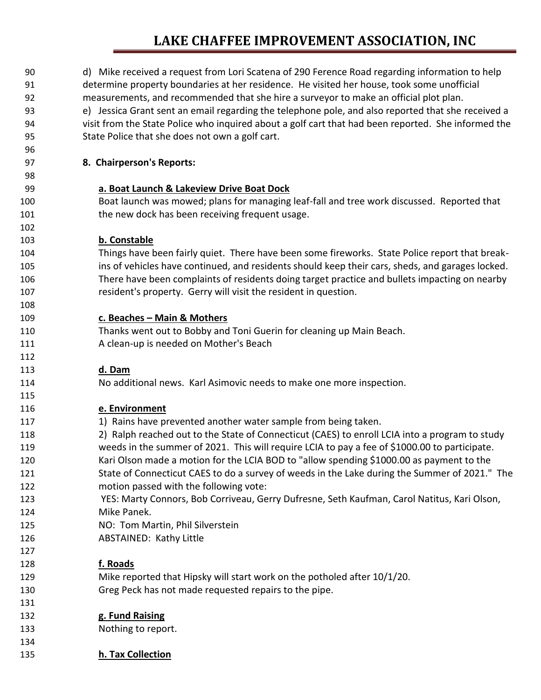| 90  | d) Mike received a request from Lori Scatena of 290 Ference Road regarding information to help      |
|-----|-----------------------------------------------------------------------------------------------------|
| 91  | determine property boundaries at her residence. He visited her house, took some unofficial          |
| 92  | measurements, and recommended that she hire a surveyor to make an official plot plan.               |
| 93  | e) Jessica Grant sent an email regarding the telephone pole, and also reported that she received a  |
| 94  | visit from the State Police who inquired about a golf cart that had been reported. She informed the |
| 95  | State Police that she does not own a golf cart.                                                     |
| 96  |                                                                                                     |
| 97  | 8. Chairperson's Reports:                                                                           |
| 98  |                                                                                                     |
| 99  | a. Boat Launch & Lakeview Drive Boat Dock                                                           |
| 100 | Boat launch was mowed; plans for managing leaf-fall and tree work discussed. Reported that          |
| 101 | the new dock has been receiving frequent usage.                                                     |
| 102 |                                                                                                     |
| 103 | b. Constable                                                                                        |
| 104 | Things have been fairly quiet. There have been some fireworks. State Police report that break-      |
| 105 | ins of vehicles have continued, and residents should keep their cars, sheds, and garages locked.    |
| 106 | There have been complaints of residents doing target practice and bullets impacting on nearby       |
| 107 | resident's property. Gerry will visit the resident in question.                                     |
| 108 |                                                                                                     |
| 109 | c. Beaches - Main & Mothers                                                                         |
| 110 | Thanks went out to Bobby and Toni Guerin for cleaning up Main Beach.                                |
| 111 | A clean-up is needed on Mother's Beach                                                              |
| 112 |                                                                                                     |
| 113 | d. Dam                                                                                              |
| 114 | No additional news. Karl Asimovic needs to make one more inspection.                                |
| 115 |                                                                                                     |
| 116 | e. Environment                                                                                      |
| 117 | 1) Rains have prevented another water sample from being taken.                                      |
| 118 | 2) Ralph reached out to the State of Connecticut (CAES) to enroll LCIA into a program to study      |
| 119 | weeds in the summer of 2021. This will require LCIA to pay a fee of \$1000.00 to participate.       |
| 120 | Kari Olson made a motion for the LCIA BOD to "allow spending \$1000.00 as payment to the            |
| 121 | State of Connecticut CAES to do a survey of weeds in the Lake during the Summer of 2021." The       |
| 122 | motion passed with the following vote:                                                              |
| 123 | YES: Marty Connors, Bob Corriveau, Gerry Dufresne, Seth Kaufman, Carol Natitus, Kari Olson,         |
| 124 | Mike Panek.                                                                                         |
| 125 | NO: Tom Martin, Phil Silverstein                                                                    |
| 126 | <b>ABSTAINED: Kathy Little</b>                                                                      |
| 127 |                                                                                                     |
| 128 | f. Roads                                                                                            |
| 129 | Mike reported that Hipsky will start work on the potholed after 10/1/20.                            |
| 130 | Greg Peck has not made requested repairs to the pipe.                                               |
| 131 |                                                                                                     |
| 132 | g. Fund Raising                                                                                     |
| 133 | Nothing to report.                                                                                  |
| 134 |                                                                                                     |
| 135 | h. Tax Collection                                                                                   |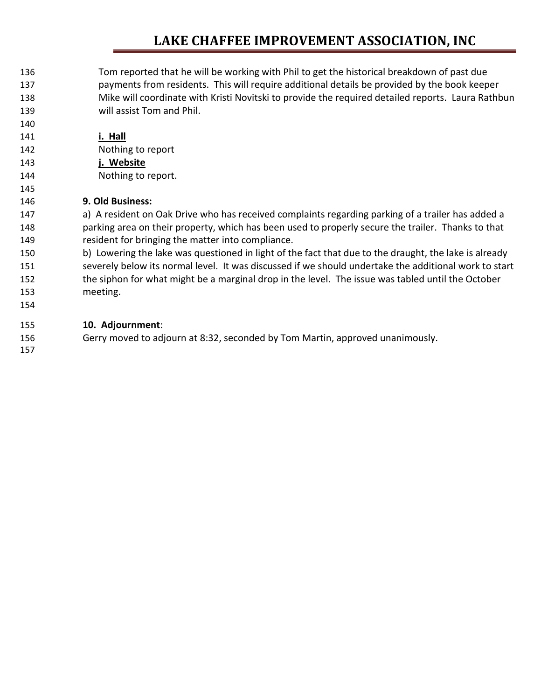- Tom reported that he will be working with Phil to get the historical breakdown of past due payments from residents. This will require additional details be provided by the book keeper Mike will coordinate with Kristi Novitski to provide the required detailed reports. Laura Rathbun will assist Tom and Phil.
- **i. Hall**
- Nothing to report
- **j. Website**
- Nothing to report.

### **9. Old Business:**

147 a) A resident on Oak Drive who has received complaints regarding parking of a trailer has added a parking area on their property, which has been used to properly secure the trailer. Thanks to that resident for bringing the matter into compliance.

 b) Lowering the lake was questioned in light of the fact that due to the draught, the lake is already severely below its normal level. It was discussed if we should undertake the additional work to start 152 the siphon for what might be a marginal drop in the level. The issue was tabled until the October meeting.

#### **10. Adjournment**:

Gerry moved to adjourn at 8:32, seconded by Tom Martin, approved unanimously.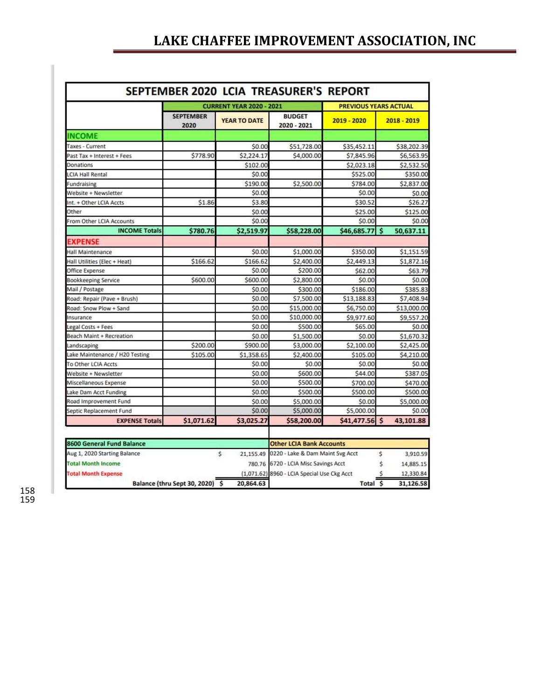|                                 |                          | <b>CURRENT YEAR 2020 - 2021</b> |                              | <b>PREVIOUS YEARS ACTUAL</b> |                       |
|---------------------------------|--------------------------|---------------------------------|------------------------------|------------------------------|-----------------------|
|                                 | <b>SEPTEMBER</b><br>2020 | <b>YEAR TO DATE</b>             | <b>BUDGET</b><br>2020 - 2021 | 2019 - 2020                  | $2018 - 2019$         |
| <b>INCOME</b>                   |                          |                                 |                              |                              |                       |
| Taxes - Current                 |                          | \$0.00                          | \$51,728.00                  | \$35,452.11                  | \$38,202.39           |
| Past Tax + Interest + Fees      | \$778.90                 | \$2,224.17                      | \$4,000.00                   | \$7,845.96                   | \$6,563.95            |
| Donations                       |                          | \$102.00                        |                              | \$2,023.18                   | \$2,532.50            |
| <b>LCIA Hall Rental</b>         |                          | \$0.00                          |                              | \$525.00                     | \$350.00              |
| Fundraising                     |                          | \$190.00                        | \$2,500.00                   | \$784.00                     | \$2,837.00            |
| Website + Newsletter            |                          | \$0.00                          |                              | \$0.00                       | \$0.00                |
| Int. + Other LCIA Accts         | \$1.86                   | \$3.80                          |                              | \$30.52                      | \$26.27               |
| Other                           |                          | \$0.00                          |                              | \$25,00                      | \$125.00              |
| From Other LCIA Accounts        |                          | \$0.00                          |                              | \$0.00                       | \$0.00                |
| <b>INCOME Totals</b>            | \$780.76                 | \$2,519.97                      | \$58,228.00                  | \$46,685.77                  | <b>S</b><br>50,637.11 |
| <b>EXPENSE</b>                  |                          |                                 |                              |                              |                       |
| Hall Maintenance                |                          | \$0.00                          | \$1,000.00                   | \$350.00                     | \$1,151.59            |
| Hall Utilities (Elec + Heat)    | \$166.62                 | \$166.62                        | \$2,400.00                   | \$2,449.13                   | \$1,872.16            |
| Office Expense                  |                          | \$0.00                          | \$200.00                     | \$62.00                      | \$63.79               |
| <b>Bookkeeping Service</b>      | \$600.00                 | \$600.00                        | \$2,800.00                   | \$0.00                       | \$0.00                |
| Mail / Postage                  |                          | \$0.00                          | \$300.00                     | \$186.00                     | \$385.83              |
| Road: Repair (Pave + Brush)     |                          | \$0.00                          | \$7,500.00                   | \$13,188.83                  | \$7,408.94            |
| Road: Snow Plow + Sand          |                          | \$0.00                          | \$15,000.00                  | \$6,750.00                   | \$13,000.00           |
| Insurance                       |                          | \$0.00                          | \$10,000.00                  | \$9,977.60                   | \$9,557.20            |
| Legal Costs + Fees              |                          | \$0.00                          | \$500.00                     | \$65,00                      | \$0.00                |
| <b>Beach Maint + Recreation</b> |                          | \$0.00                          | \$1,500.00                   | \$0.00                       | \$1,670.32            |
| Landscaping                     | \$200.00                 | \$900.00                        | \$3,000.00                   | \$2,100.00                   | \$2,425.00            |
| Lake Maintenance / H20 Testing  | \$105.00                 | \$1,358.65                      | \$2,400.00                   | \$105.00                     | \$4,210.00            |
| To Other LCIA Accts             |                          | \$0.00                          | \$0.00                       | \$0.00                       | \$0.00                |
| Website + Newsletter            |                          | \$0.00                          | \$600.00                     | \$44.00                      | \$387.05              |
| Miscellaneous Expense           |                          | \$0.00                          | \$500.00                     | \$700.00                     | \$470.00              |
| Lake Dam Acct Funding           |                          | \$0.00                          | \$500.00                     | \$500.00                     | \$500.00              |
| Road Improvement Fund           |                          | \$0.00                          | \$5,000.00                   | \$0.00                       | \$5,000.00            |
| Septic Replacement Fund         |                          | \$0.00                          | \$5,000.00                   | \$5,000.00                   | \$0.00                |
| <b>EXPENSE Totals</b>           | \$1,071.62               | \$3,025.27                      | \$58,200.00                  | \$41,477.56 \$               | 43,101.88             |

| 8600 General Fund Balance    |  |           | <b>Other LCIA Bank Accounts</b>             |  |           |           |
|------------------------------|--|-----------|---------------------------------------------|--|-----------|-----------|
| Aug 1, 2020 Starting Balance |  |           | 21,155.49 0220 - Lake & Dam Maint Svg Acct  |  |           | 3,910.59  |
| <b>Total Month Income</b>    |  |           | 780.76 6720 - LCIA Misc Savings Acct        |  |           | 14,885.15 |
| <b>Total Month Expense</b>   |  |           | (1,071.62) 8960 - LCIA Special Use Ckg Acct |  |           | 12,330.84 |
| Balance (thru Sept 30, 2020) |  | 20,864.63 | Total                                       |  | 31.126.58 |           |